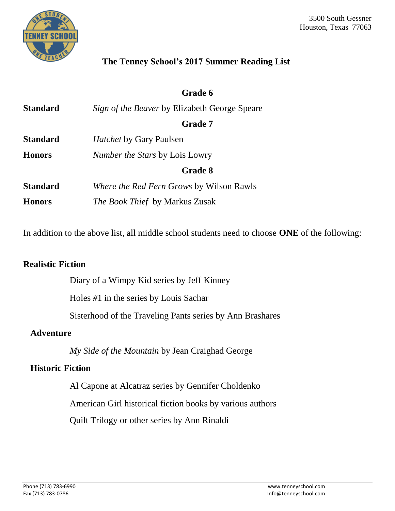

## **The Tenney School's 2017 Summer Reading List**

|                 | Grade 6                                              |  |  |
|-----------------|------------------------------------------------------|--|--|
| <b>Standard</b> | <i>Sign of the Beaver</i> by Elizabeth George Speare |  |  |
|                 | <b>Grade 7</b>                                       |  |  |
| <b>Standard</b> | <i>Hatchet</i> by Gary Paulsen                       |  |  |
| <b>Honors</b>   | <i>Number the Stars by Lois Lowry</i>                |  |  |
|                 | <b>Grade 8</b>                                       |  |  |
| <b>Standard</b> | <i>Where the Red Fern Grows by Wilson Rawls</i>      |  |  |
| <b>Honors</b>   | <i>The Book Thief</i> by Markus Zusak                |  |  |

In addition to the above list, all middle school students need to choose **ONE** of the following:

### **Realistic Fiction**

Diary of a Wimpy Kid series by Jeff Kinney

Holes *#*1 in the series by Louis Sachar

Sisterhood of the Traveling Pants series by Ann Brashares

#### **Adventure**

*My Side of the Mountain* by Jean Craighad George

### **Historic Fiction**

Al Capone at Alcatraz series by Gennifer Choldenko

American Girl historical fiction books by various authors

Quilt Trilogy or other series by Ann Rinaldi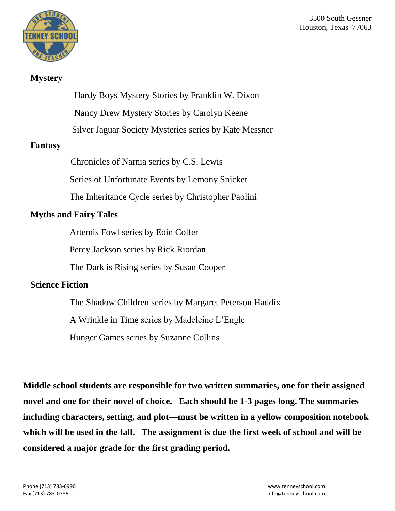

#### **Mystery**

Hardy Boys Mystery Stories by Franklin W. Dixon

Nancy Drew Mystery Stories by Carolyn Keene

Silver Jaguar Society Mysteries series by Kate Messner

### **Fantasy**

Chronicles of Narnia series by C.S. Lewis

Series of Unfortunate Events by Lemony Snicket

The Inheritance Cycle series by Christopher Paolini

## **Myths and Fairy Tales**

Artemis Fowl series by Eoin Colfer

Percy Jackson series by Rick Riordan

The Dark is Rising series by Susan Cooper

# **Science Fiction**

The Shadow Children series by Margaret Peterson Haddix

A Wrinkle in Time series by Madeleine L'Engle

Hunger Games series by Suzanne Collins

**Middle school students are responsible for two written summaries, one for their assigned novel and one for their novel of choice. Each should be 1-3 pages long. The summaries including characters, setting, and plot—must be written in a yellow composition notebook which will be used in the fall. The assignment is due the first week of school and will be considered a major grade for the first grading period.**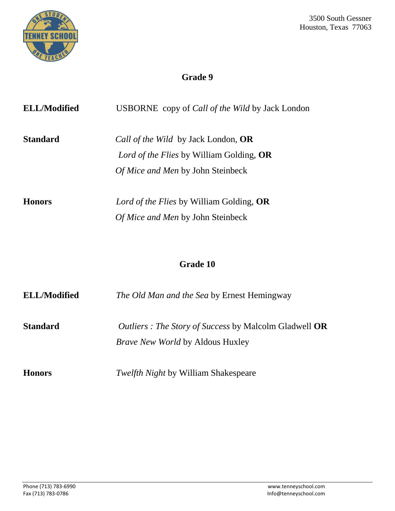

# **Grade 9**

| <b>ELL/Modified</b> | <b>USBORNE</b> copy of <i>Call of the Wild</i> by Jack London                                                               |
|---------------------|-----------------------------------------------------------------------------------------------------------------------------|
| <b>Standard</b>     | Call of the Wild by Jack London, OR<br>Lord of the Flies by William Golding, OR<br><i>Of Mice and Men</i> by John Steinbeck |
| <b>Honors</b>       | Lord of the Flies by William Golding, OR<br>Of Mice and Men by John Steinbeck                                               |

# **Grade 10**

| <b>ELL/Modified</b> | <i>The Old Man and the Sea by Ernest Hemingway</i>                                                       |  |
|---------------------|----------------------------------------------------------------------------------------------------------|--|
| <b>Standard</b>     | <i>Outliers : The Story of Success by Malcolm Gladwell OR</i><br><i>Brave New World</i> by Aldous Huxley |  |
| <b>Honors</b>       | <i>Twelfth Night</i> by William Shakespeare                                                              |  |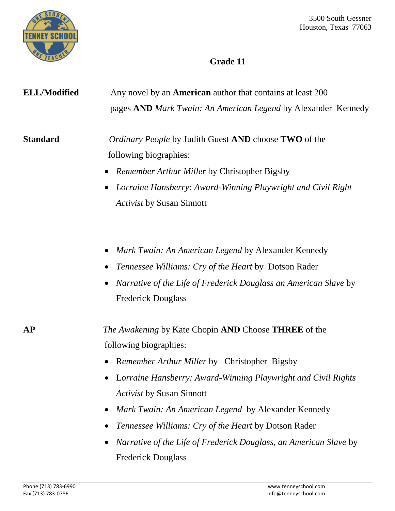

# **Grade 11**

| <b>ELL/Modified</b> | Any novel by an <b>American</b> author that contains at least 200<br>pages AND Mark Twain: An American Legend by Alexander Kennedy                                                                                                                                                                                                                                                                                                                          |  |  |
|---------------------|-------------------------------------------------------------------------------------------------------------------------------------------------------------------------------------------------------------------------------------------------------------------------------------------------------------------------------------------------------------------------------------------------------------------------------------------------------------|--|--|
| <b>Standard</b>     | <i>Ordinary People</i> by Judith Guest AND choose TWO of the<br>following biographies:<br>• Remember Arthur Miller by Christopher Bigsby<br>Lorraine Hansberry: Award-Winning Playwright and Civil Right<br><b>Activist by Susan Sinnott</b>                                                                                                                                                                                                                |  |  |
|                     | Mark Twain: An American Legend by Alexander Kennedy<br><i>Tennessee Williams: Cry of the Heart by Dotson Rader</i><br>$\bullet$<br>Narrative of the Life of Frederick Douglass an American Slave by<br><b>Frederick Douglass</b>                                                                                                                                                                                                                            |  |  |
| <b>AP</b>           | The Awakening by Kate Chopin AND Choose THREE of the<br>following biographies:<br><b>Remember Arthur Miller by Christopher Bigsby</b><br>Lorraine Hansberry: Award-Winning Playwright and Civil Rights<br><b>Activist by Susan Sinnott</b><br>Mark Twain: An American Legend by Alexander Kennedy<br>Tennessee Williams: Cry of the Heart by Dotson Rader<br>Narrative of the Life of Frederick Douglass, an American Slave by<br><b>Frederick Douglass</b> |  |  |